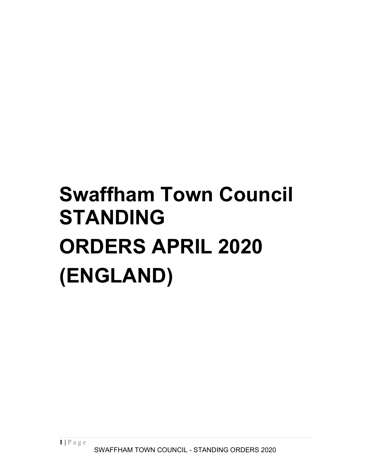# Swaffham Town Council STANDING ORDERS APRIL 2020 (ENGLAND)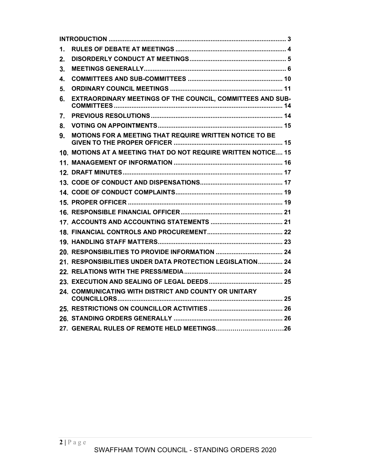| 6. EXTRAORDINARY MEETINGS OF THE COUNCIL, COMMITTEES AND SUB-     |  |
|-------------------------------------------------------------------|--|
|                                                                   |  |
|                                                                   |  |
| 9. MOTIONS FOR A MEETING THAT REQUIRE WRITTEN NOTICE TO BE        |  |
| 10. MOTIONS AT A MEETING THAT DO NOT REQUIRE WRITTEN NOTICE 15    |  |
|                                                                   |  |
|                                                                   |  |
|                                                                   |  |
|                                                                   |  |
|                                                                   |  |
|                                                                   |  |
|                                                                   |  |
|                                                                   |  |
|                                                                   |  |
|                                                                   |  |
| 21. RESPONSIBILITIES UNDER DATA PROTECTION LEGISLATION 24         |  |
|                                                                   |  |
|                                                                   |  |
| 24. COMMUNICATING WITH DISTRICT AND COUNTY OR UNITARY             |  |
|                                                                   |  |
|                                                                   |  |
| 27. GENERAL RULES OF REMOTE HELD MEETINGS26                       |  |
|                                                                   |  |
| $2 P \text{ age}$<br>SWAFFHAM TOWN COUNCIL - STANDING ORDERS 2020 |  |
|                                                                   |  |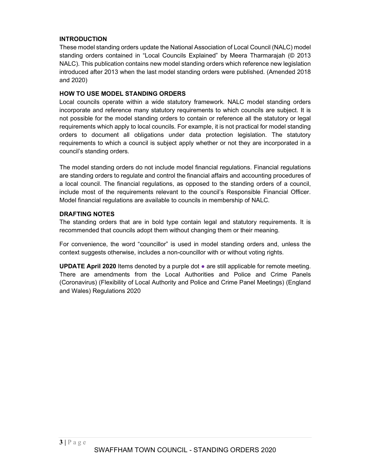# INTRODUCTION

These model standing orders update the National Association of Local Council (NALC) model standing orders contained in "Local Councils Explained" by Meera Tharmarajah (© 2013 NALC). This publication contains new model standing orders which reference new legislation introduced after 2013 when the last model standing orders were published. (Amended 2018 and 2020)

# HOW TO USE MODEL STANDING ORDERS

Local councils operate within a wide statutory framework. NALC model standing orders incorporate and reference many statutory requirements to which councils are subject. It is not possible for the model standing orders to contain or reference all the statutory or legal requirements which apply to local councils. For example, it is not practical for model standing orders to document all obligations under data protection legislation. The statutory requirements to which a council is subject apply whether or not they are incorporated in a council's standing orders.

The model standing orders do not include model financial regulations. Financial regulations are standing orders to regulate and control the financial affairs and accounting procedures of a local council. The financial regulations, as opposed to the standing orders of a council, include most of the requirements relevant to the council's Responsible Financial Officer. Model financial regulations are available to councils in membership of NALC.

# DRAFTING NOTES

The standing orders that are in bold type contain legal and statutory requirements. It is recommended that councils adopt them without changing them or their meaning.

For convenience, the word "councillor" is used in model standing orders and, unless the context suggests otherwise, includes a non-councillor with or without voting rights.

UPDATE April 2020 Items denoted by a purple dot ● are still applicable for remote meeting. There are amendments from the Local Authorities and Police and Crime Panels (Coronavirus) (Flexibility of Local Authority and Police and Crime Panel Meetings) (England and Wales) Regulations 2020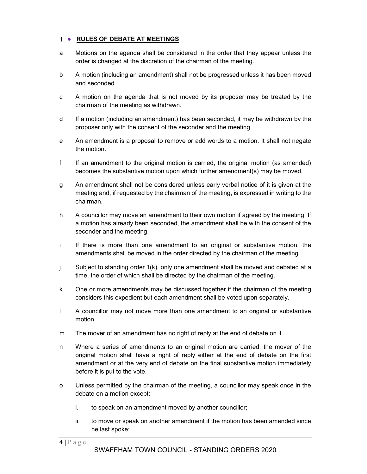# 1. • RULES OF DEBATE AT MEETINGS

- a Motions on the agenda shall be considered in the order that they appear unless the order is changed at the discretion of the chairman of the meeting.
- b A motion (including an amendment) shall not be progressed unless it has been moved and seconded.
- c A motion on the agenda that is not moved by its proposer may be treated by the chairman of the meeting as withdrawn.
- d If a motion (including an amendment) has been seconded, it may be withdrawn by the proposer only with the consent of the seconder and the meeting.
- e An amendment is a proposal to remove or add words to a motion. It shall not negate the motion.
- f If an amendment to the original motion is carried, the original motion (as amended) becomes the substantive motion upon which further amendment(s) may be moved.
- g An amendment shall not be considered unless early verbal notice of it is given at the meeting and, if requested by the chairman of the meeting, is expressed in writing to the chairman.
- h A councillor may move an amendment to their own motion if agreed by the meeting. If a motion has already been seconded, the amendment shall be with the consent of the seconder and the meeting.
- i If there is more than one amendment to an original or substantive motion, the amendments shall be moved in the order directed by the chairman of the meeting.
- j Subject to standing order 1(k), only one amendment shall be moved and debated at a time, the order of which shall be directed by the chairman of the meeting.
- k One or more amendments may be discussed together if the chairman of the meeting considers this expedient but each amendment shall be voted upon separately.
- l A councillor may not move more than one amendment to an original or substantive motion.
- m The mover of an amendment has no right of reply at the end of debate on it.
- EXERCT AND MONUTE CONDING ORDERS 2020<br>
4  $\epsilon$  P a g e WAAFFHAM TOWN COUNCIL STANDING ORDERS 2020<br>
4  $\epsilon$  P a g e WAAFFHAM MONUTE CONDING ORDERS 2020<br>
4  $\epsilon$  P a g e SWAFFHAM TOWN COUNCIL STANDING ORDERS 2020<br>
4  $\epsilon$  P n Where a series of amendments to an original motion are carried, the mover of the original motion shall have a right of reply either at the end of debate on the first amendment or at the very end of debate on the final substantive motion immediately before it is put to the vote.
- o Unless permitted by the chairman of the meeting, a councillor may speak once in the debate on a motion except:
	- i. to speak on an amendment moved by another councillor;
	- ii. to move or speak on another amendment if the motion has been amended since he last spoke;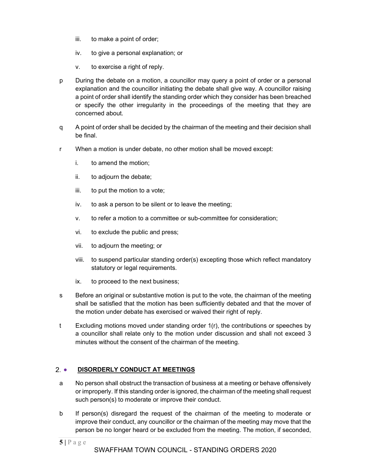- iii. to make a point of order;
- iv. to give a personal explanation; or
- v. to exercise a right of reply.
- p During the debate on a motion, a councillor may query a point of order or a personal explanation and the councillor initiating the debate shall give way. A councillor raising a point of order shall identify the standing order which they consider has been breached or specify the other irregularity in the proceedings of the meeting that they are concerned about.
- q A point of order shall be decided by the chairman of the meeting and their decision shall be final.
- r When a motion is under debate, no other motion shall be moved except:
	- i. to amend the motion;
	- ii. to adjourn the debate;
	- iii. to put the motion to a vote;
	- iv. to ask a person to be silent or to leave the meeting;
	- v. to refer a motion to a committee or sub-committee for consideration;
	- vi. to exclude the public and press;
	- vii. to adjourn the meeting; or
	- viii. to suspend particular standing order(s) excepting those which reflect mandatory statutory or legal requirements.
	- ix. to proceed to the next business;
- s Before an original or substantive motion is put to the vote, the chairman of the meeting shall be satisfied that the motion has been sufficiently debated and that the mover of the motion under debate has exercised or waived their right of reply.
- So Before an original or substantive motion is put to the vote, the chairman of<br>shall be satisfied that the motion has been sufficiently debated and that the<br>motion under debate has exercised or waived their right of repl t Excluding motions moved under standing order 1(r), the contributions or speeches by a councillor shall relate only to the motion under discussion and shall not exceed 3 minutes without the consent of the chairman of the meeting.

# 2. DISORDERLY CONDUCT AT MEETINGS

- a No person shall obstruct the transaction of business at a meeting or behave offensively or improperly. If this standing order is ignored, the chairman of the meeting shall request such person(s) to moderate or improve their conduct.
- b If person(s) disregard the request of the chairman of the meeting to moderate or improve their conduct, any councillor or the chairman of the meeting may move that the person be no longer heard or be excluded from the meeting. The motion, if seconded,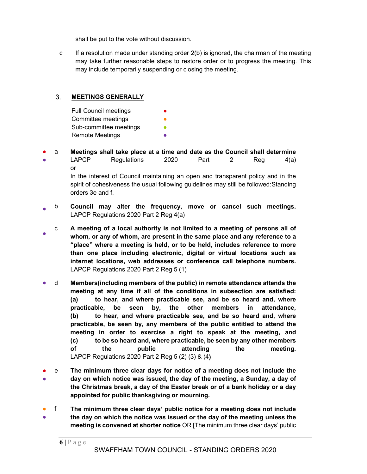shall be put to the vote without discussion.

c If a resolution made under standing order 2(b) is ignored, the chairman of the meeting may take further reasonable steps to restore order or to progress the meeting. This may include temporarily suspending or closing the meeting.

#### $3.$ MEETINGS GENERALLY

orders 3e and f.

| <b>Full Council meetings</b> |  |
|------------------------------|--|
| Committee meetings           |  |
| Sub-committee meetings       |  |
| Remote Meetings              |  |

- a Meetings shall take place at a time and date as the Council shall determine **LAPCP** Regulations  $2020$  Part 2 Reg  $4(a)$ or In the interest of Council maintaining an open and transparent policy and in the spirit of cohesiveness the usual following guidelines may still be followed:Standing
- $\bullet$  b Council may alter the frequency, move or cancel such meetings. LAPCP Regulations 2020 Part 2 Reg 4(a)
- external or any of whom, are present in the same place and any reference to a c A meeting of a local authority is not limited to a meeting of persons all of "place" where a meeting is held, or to be held, includes reference to more than one place including electronic, digital or virtual locations such as internet locations, web addresses or conference call telephone numbers. LAPCP Regulations 2020 Part 2 Reg 5 (1)
- meeting at any time if all of the conditions in subsection are sati (a) to hear, and where practicable see, and be so heard and, practicable, be seen by, the other members in attendomly. (b) to hear, and where practicable ● d Members(including members of the public) in remote attendance attends the meeting at any time if all of the conditions in subsection are satisfied: (a) to hear, and where practicable see, and be so heard and, where practicable, be seen by, the other members in attendance, (b) to hear, and where practicable see, and be so heard and, where practicable, be seen by, any members of the public entitled to attend the meeting in order to exercise a right to speak at the meeting, and (c) to be so heard and, where practicable, be seen by any other members of the public attending the meeting. LAPCP Regulations 2020 Part 2 Reg 5 (2) (3) & (4)
- e The minimum three clear days for notice of a meeting does not include the ● day on which notice was issued, the day of the meeting, a Sunday, a day of the Christmas break, a day of the Easter break or of a bank holiday or a day appointed for public thanksgiving or mourning.
- f The minimum three clear days' public notice for a meeting does not include ● the day on which the notice was issued or the day of the meeting unless the meeting is convened at shorter notice OR [The minimum three clear days' public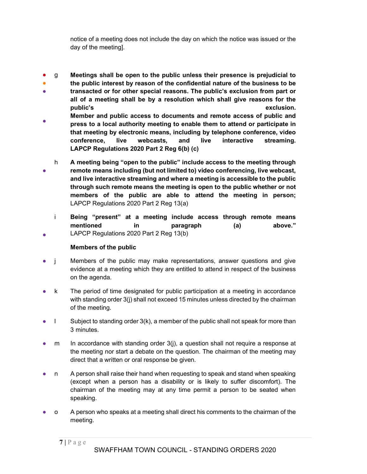notice of a meeting does not include the day on which the notice was issued or the day of the meeting].

- g Meetings shall be open to the public unless their presence is prejudicial to
- ● the public interest by reason of the confidential nature of the business to be transacted or for other special reasons. The public's exclusion from part or
- all of a meeting shall be by a resolution which shall give reasons for the public's exclusion.
- Member and public access to documents and remote access of public and press to a local authority meeting to enable them to attend or participate in that meeting by electronic means, including by telephone conference, video conference, live webcasts, and live interactive streaming. LAPCP Regulations 2020 Part 2 Reg 6(b) (c)
- h A meeting being "open to the public" include access to the meeting through remote means including (but not limited to) video conferencing, live webcast, and live interactive streaming and where a meeting is accessible to the public through such remote means the meeting is open to the public whether or not members of the public are able to attend the meeting in person; LAPCP Regulations 2020 Part 2 Reg 13(a)
	- i Being "present" at a meeting include access through remote means mentioned in paragraph (a) above." LAPCP Regulations 2020 Part 2 Reg 13(b)

# Members of the public

●

- j Members of the public may make representations, answer questions and give evidence at a meeting which they are entitled to attend in respect of the business on the agenda.
- k The period of time designated for public participation at a meeting in accordance with standing order 3(j) shall not exceed 15 minutes unless directed by the chairman of the meeting.
- $\blacksquare$  Subject to standing order 3(k), a member of the public shall not speak for more than 3 minutes.
- $m$  In accordance with standing order  $3(i)$ , a question shall not require a response at the meeting nor start a debate on the question. The chairman of the meeting may direct that a written or oral response be given.
- n A person shall raise their hand when requesting to speak and stand when speaking (except when a person has a disability or is likely to suffer discomfort). The chairman of the meeting may at any time permit a person to be seated when speaking.
- o A person who speaks at a meeting shall direct his comments to the chairman of the meeting.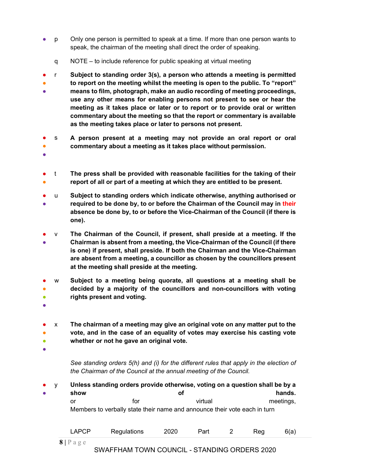- p Only one person is permitted to speak at a time. If more than one person wants to speak, the chairman of the meeting shall direct the order of speaking.
	- q NOTE to include reference for public speaking at virtual meeting

● ● ● r Subject to standing order 3(s), a person who attends a meeting is permitted to report on the meeting whilst the meeting is open to the public. To "report" means to film, photograph, make an audio recording of meeting proceedings, use any other means for enabling persons not present to see or hear the meeting as it takes place or later or to report or to provide oral or written commentary about the meeting so that the report or commentary is available as the meeting takes place or later to persons not present.

- ● s A person present at a meeting may not provide an oral report or oral commentary about a meeting as it takes place without permission.
- ●
- ● t The press shall be provided with reasonable facilities for the taking of their report of all or part of a meeting at which they are entitled to be present.
- u Subject to standing orders which indicate otherwise, anything authorised or
- required to be done by, to or before the Chairman of the Council may in their absence be done by, to or before the Vice-Chairman of the Council (if there is one).
- ● v The Chairman of the Council, if present, shall preside at a meeting. If the Chairman is absent from a meeting, the Vice-Chairman of the Council (if there is one) if present, shall preside. If both the Chairman and the Vice-Chairman are absent from a meeting, a councillor as chosen by the councillors present at the meeting shall preside at the meeting.
- ● ● w Subject to a meeting being quorate, all questions at a meeting shall be decided by a majority of the councillors and non-councillors with voting rights present and voting.
- ●
- ● ● x The chairman of a meeting may give an original vote on any matter put to the vote, and in the case of an equality of votes may exercise his casting vote whether or not he gave an original vote.
- ●

See standing orders 5(h) and (i) for the different rules that apply in the election of the Chairman of the Council at the annual meeting of the Council.

● ● y Unless standing orders provide otherwise, voting on a question shall be by a show of hands. or for the virtual meetings, Members to verbally state their name and announce their vote each in turn

| <b>APCP</b>     | Regulations |  |  |  | - - - |  |  |  |  |
|-----------------|-------------|--|--|--|-------|--|--|--|--|
| $\sim$ 1 $\sim$ |             |  |  |  |       |  |  |  |  |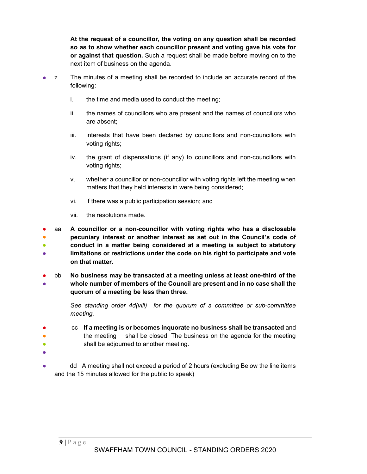At the request of a councillor, the voting on any question shall be recorded so as to show whether each councillor present and voting gave his vote for or against that question. Such a request shall be made before moving on to the next item of business on the agenda.

- z The minutes of a meeting shall be recorded to include an accurate record of the following:
	- i. the time and media used to conduct the meeting;
	- ii. the names of councillors who are present and the names of councillors who are absent;
	- iii. interests that have been declared by councillors and non-councillors with voting rights;
	- iv. the grant of dispensations (if any) to councillors and non-councillors with voting rights;
	- v. whether a councillor or non-councillor with voting rights left the meeting when matters that they held interests in were being considered;
	- vi. if there was a public participation session; and
	- vii. the resolutions made.

● ● ● ● aa A councillor or a non-councillor with voting rights who has a disclosable pecuniary interest or another interest as set out in the Council's code of conduct in a matter being considered at a meeting is subject to statutory limitations or restrictions under the code on his right to participate and vote on that matter.

● ● bb No business may be transacted at a meeting unless at least one-third of the whole number of members of the Council are present and in no case shall the quorum of a meeting be less than three.

> See standing order 4d(viii) for the quorum of a committee or sub-committee meeting.

- ● ● cc If a meeting is or becomes inquorate no business shall be transacted and the meeting shall be closed. The business on the agenda for the meeting shall be adjourned to another meeting.
- ●
- dd A meeting shall not exceed a period of 2 hours (excluding Below the line items and the 15 minutes allowed for the public to speak)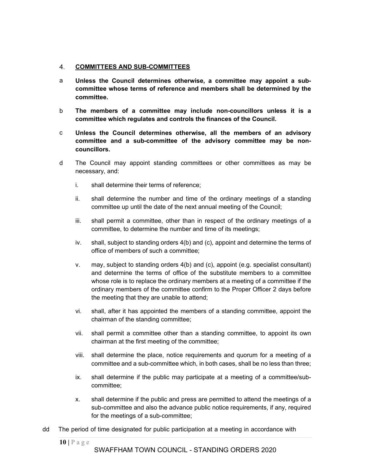#### 4. COMMITTEES AND SUB-COMMITTEES

- a Unless the Council determines otherwise, a committee may appoint a subcommittee whose terms of reference and members shall be determined by the committee.
- b The members of a committee may include non-councillors unless it is a committee which regulates and controls the finances of the Council.
- c Unless the Council determines otherwise, all the members of an advisory committee and a sub-committee of the advisory committee may be noncouncillors.
- d The Council may appoint standing committees or other committees as may be necessary, and:
	- i. shall determine their terms of reference;
	- ii. shall determine the number and time of the ordinary meetings of a standing committee up until the date of the next annual meeting of the Council;
	- iii. shall permit a committee, other than in respect of the ordinary meetings of a committee, to determine the number and time of its meetings;
	- iv. shall, subject to standing orders 4(b) and (c), appoint and determine the terms of office of members of such a committee;
	- v. may, subject to standing orders 4(b) and (c), appoint (e.g. specialist consultant) and determine the terms of office of the substitute members to a committee whose role is to replace the ordinary members at a meeting of a committee if the ordinary members of the committee confirm to the Proper Officer 2 days before the meeting that they are unable to attend;
	- vi. shall, after it has appointed the members of a standing committee, appoint the chairman of the standing committee;
	- vii. shall permit a committee other than a standing committee, to appoint its own chairman at the first meeting of the committee;
	- viii. shall determine the place, notice requirements and quorum for a meeting of a committee and a sub-committee which, in both cases, shall be no less than three;
	- ix. shall determine if the public may participate at a meeting of a committee/subcommittee;
- ordinary members of the committee confirm to the Proper Officer 2 data the meeting that they are unable to attend;<br>
vi. shall, after it has appointed the members of a standing committee, a<br>
chairman of the standing commit x. shall determine if the public and press are permitted to attend the meetings of a sub-committee and also the advance public notice requirements, if any, required for the meetings of a sub-committee;
- dd The period of time designated for public participation at a meeting in accordance with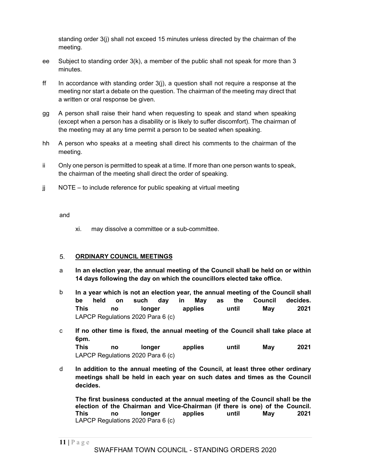standing order 3(j) shall not exceed 15 minutes unless directed by the chairman of the meeting.

- ee Subject to standing order 3(k), a member of the public shall not speak for more than 3 minutes.
- ff In accordance with standing order  $3(i)$ , a question shall not require a response at the meeting nor start a debate on the question. The chairman of the meeting may direct that a written or oral response be given.
- gg A person shall raise their hand when requesting to speak and stand when speaking (except when a person has a disability or is likely to suffer discomfort). The chairman of the meeting may at any time permit a person to be seated when speaking.
- hh A person who speaks at a meeting shall direct his comments to the chairman of the meeting.
- ii Only one person is permitted to speak at a time. If more than one person wants to speak, the chairman of the meeting shall direct the order of speaking.
- jj NOTE to include reference for public speaking at virtual meeting

#### and

xi. may dissolve a committee or a sub-committee.

#### 5. ORDINARY COUNCIL MEETINGS

- a In an election year, the annual meeting of the Council shall be held on or within 14 days following the day on which the councillors elected take office.
- b In a year which is not an election year, the annual meeting of the Council shall be held on such day in May as the Council decides. This no longer applies until May 2021 LAPCP Regulations 2020 Para 6 (c)
- In a year which is not an election year, the annual meeting of the Council<br>
11 This no longer applies until May<br>
11 Hay as the Council<br>
11 Hay LAPCP Regulations 2020 Para 6 (c)<br>
11 May as the Council shall take<br>
11 Gpm.<br> c If no other time is fixed, the annual meeting of the Council shall take place at 6pm. This no longer applies until May 2021 LAPCP Regulations 2020 Para 6 (c)
- d In addition to the annual meeting of the Council, at least three other ordinary meetings shall be held in each year on such dates and times as the Council decides.

The first business conducted at the annual meeting of the Council shall be the election of the Chairman and Vice-Chairman (if there is one) of the Council. This no longer applies until May 2021 LAPCP Regulations 2020 Para 6 (c)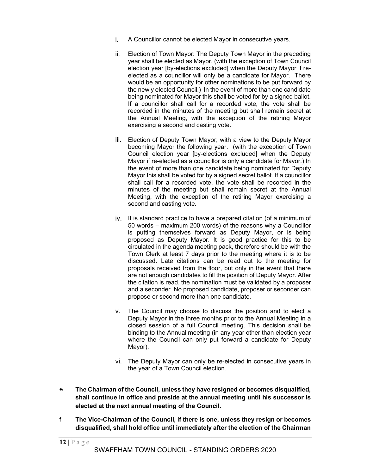- i. A Councillor cannot be elected Mayor in consecutive years.
- ii. Election of Town Mayor: The Deputy Town Mayor in the preceding year shall be elected as Mayor. (with the exception of Town Council election year [by-elections excluded] when the Deputy Mayor if reelected as a councillor will only be a candidate for Mayor. There would be an opportunity for other nominations to be put forward by the newly elected Council.) In the event of more than one candidate being nominated for Mayor this shall be voted for by a signed ballot. If a councillor shall call for a recorded vote, the vote shall be recorded in the minutes of the meeting but shall remain secret at the Annual Meeting, with the exception of the retiring Mayor exercising a second and casting vote.
- iii. Election of Deputy Town Mayor; with a view to the Deputy Mayor becoming Mayor the following year. (with the exception of Town Council election year [by-elections excluded] when the Deputy Mayor if re-elected as a councillor is only a candidate for Mayor.) In the event of more than one candidate being nominated for Deputy Mayor this shall be voted for by a signed secret ballot. If a councillor shall call for a recorded vote, the vote shall be recorded in the minutes of the meeting but shall remain secret at the Annual Meeting, with the exception of the retiring Mayor exercising a second and casting vote.
- iv. It is standard practice to have a prepared citation (of a minimum of 50 words – maximum 200 words) of the reasons why a Councillor is putting themselves forward as Deputy Mayor, or is being proposed as Deputy Mayor. It is good practice for this to be circulated in the agenda meeting pack, therefore should be with the Town Clerk at least 7 days prior to the meeting where it is to be discussed. Late citations can be read out to the meeting for proposals received from the floor, but only in the event that there are not enough candidates to fill the position of Deputy Mayor. After the citation is read, the nomination must be validated by a proposer and a seconder. No proposed candidate, proposer or seconder can propose or second more than one candidate.
- v. The Council may choose to discuss the position and to elect a Deputy Mayor in the three months prior to the Annual Meeting in a closed session of a full Council meeting. This decision shall be binding to the Annual meeting (in any year other than election year where the Council can only put forward a candidate for Deputy Mayor).
- vi. The Deputy Mayor can only be re-elected in consecutive years in the year of a Town Council election.
- e The Chairman of the Council, unless they have resigned or becomes disqualified, shall continue in office and preside at the annual meeting until his successor is elected at the next annual meeting of the Council.
- f The Vice-Chairman of the Council, if there is one, unless they resign or becomes disqualified, shall hold office until immediately after the election of the Chairman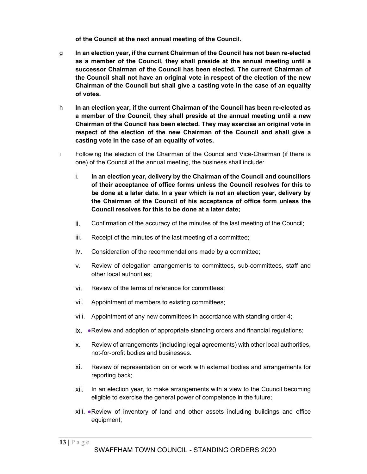of the Council at the next annual meeting of the Council.

- g In an election year, if the current Chairman of the Council has not been re-elected as a member of the Council, they shall preside at the annual meeting until a successor Chairman of the Council has been elected. The current Chairman of the Council shall not have an original vote in respect of the election of the new Chairman of the Council but shall give a casting vote in the case of an equality of votes.
- h In an election year, if the current Chairman of the Council has been re-elected as a member of the Council, they shall preside at the annual meeting until a new Chairman of the Council has been elected. They may exercise an original vote in respect of the election of the new Chairman of the Council and shall give a casting vote in the case of an equality of votes.
- i Following the election of the Chairman of the Council and Vice-Chairman (if there is one) of the Council at the annual meeting, the business shall include:
	- i. In an election year, delivery by the Chairman of the Council and councillors of their acceptance of office forms unless the Council resolves for this to be done at a later date. In a year which is not an election year, delivery by the Chairman of the Council of his acceptance of office form unless the Council resolves for this to be done at a later date;
	- ii. Confirmation of the accuracy of the minutes of the last meeting of the Council;
	- iii. Receipt of the minutes of the last meeting of a committee;
	- iv. Consideration of the recommendations made by a committee;
	- v. Review of delegation arrangements to committees, sub-committees, staff and other local authorities;
	- vi. Review of the terms of reference for committees;
	- vii. Appointment of members to existing committees;
	- viii. Appointment of any new committees in accordance with standing order 4;
	- ix. ●Review and adoption of appropriate standing orders and financial regulations;
	- x. Review of arrangements (including legal agreements) with other local authorities, not-for-profit bodies and businesses.
	- xi. Review of representation on or work with external bodies and arrangements for reporting back;
	- xii. In an election year, to make arrangements with a view to the Council becoming eligible to exercise the general power of competence in the future;
	- xiii. ●Review of inventory of land and other assets including buildings and office equipment;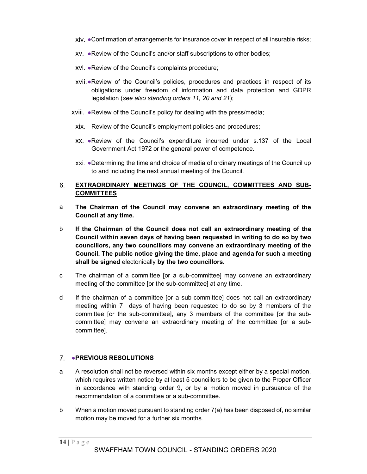- xiv. ●Confirmation of arrangements for insurance cover in respect of all insurable risks;
- xv. ●Review of the Council's and/or staff subscriptions to other bodies;
- xvi. ●Review of the Council's complaints procedure;
- xvii. ●Review of the Council's policies, procedures and practices in respect of its obligations under freedom of information and data protection and GDPR legislation (see also standing orders 11, 20 and 21);
- xviii. ●Review of the Council's policy for dealing with the press/media;
- xix. Review of the Council's employment policies and procedures;
- xx. ●Review of the Council's expenditure incurred under s.137 of the Local Government Act 1972 or the general power of competence.
- xxi. ●Determining the time and choice of media of ordinary meetings of the Council up to and including the next annual meeting of the Council.

#### 6. EXTRAORDINARY MEETINGS OF THE COUNCIL, COMMITTEES AND SUB-COMMITTEES

- a The Chairman of the Council may convene an extraordinary meeting of the Council at any time.
- b If the Chairman of the Council does not call an extraordinary meeting of the Council within seven days of having been requested in writing to do so by two councillors, any two councillors may convene an extraordinary meeting of the Council. The public notice giving the time, place and agenda for such a meeting shall be signed electonically by the two councillors.
- c The chairman of a committee [or a sub-committee] may convene an extraordinary meeting of the committee [or the sub-committee] at any time.
- d If the chairman of a committee [or a sub-committee] does not call an ext<br>meeting within 7 days of having been requested to do so by 3 memb<br>committee [or the sub-committee], any 3 members of the committee [or<br>committee] d If the chairman of a committee [or a sub-committee] does not call an extraordinary meeting within 7 days of having been requested to do so by 3 members of the committee [or the sub-committee], any 3 members of the committee [or the subcommittee] may convene an extraordinary meeting of the committee [or a subcommittee].

# 7. **• PREVIOUS RESOLUTIONS**

- a A resolution shall not be reversed within six months except either by a special motion, which requires written notice by at least 5 councillors to be given to the Proper Officer in accordance with standing order 9, or by a motion moved in pursuance of the recommendation of a committee or a sub-committee.
- b When a motion moved pursuant to standing order  $7(a)$  has been disposed of, no similar motion may be moved for a further six months.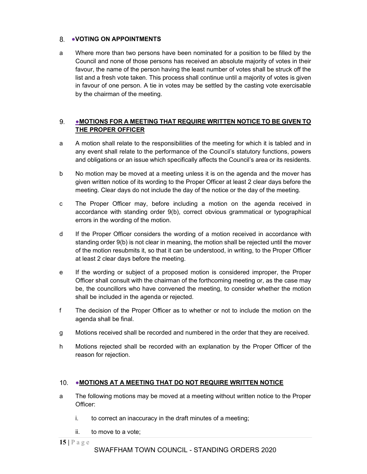# 8. VOTING ON APPOINTMENTS

a Where more than two persons have been nominated for a position to be filled by the Council and none of those persons has received an absolute majority of votes in their favour, the name of the person having the least number of votes shall be struck off the list and a fresh vote taken. This process shall continue until a majority of votes is given in favour of one person. A tie in votes may be settled by the casting vote exercisable by the chairman of the meeting.

#### 9. ●MOTIONS FOR A MEETING THAT REQUIRE WRITTEN NOTICE TO BE GIVEN TO THE PROPER OFFICER

- a A motion shall relate to the responsibilities of the meeting for which it is tabled and in any event shall relate to the performance of the Council's statutory functions, powers and obligations or an issue which specifically affects the Council's area or its residents.
- b No motion may be moved at a meeting unless it is on the agenda and the mover has given written notice of its wording to the Proper Officer at least 2 clear days before the meeting. Clear days do not include the day of the notice or the day of the meeting.
- c The Proper Officer may, before including a motion on the agenda received in accordance with standing order 9(b), correct obvious grammatical or typographical errors in the wording of the motion.
- d If the Proper Officer considers the wording of a motion received in accordance with standing order 9(b) is not clear in meaning, the motion shall be rejected until the mover of the motion resubmits it, so that it can be understood, in writing, to the Proper Officer at least 2 clear days before the meeting.
- e If the wording or subject of a proposed motion is considered improper, the Proper Officer shall consult with the chairman of the forthcoming meeting or, as the case may be, the councillors who have convened the meeting, to consider whether the motion shall be included in the agenda or rejected.
- be, the councillors who have convened the meeting, to consider whether the shall be included in the agenda or rejected.<br>
15 The decision of the Proper Officer as to whether or not to include the mot<br>
agenda shall be final f The decision of the Proper Officer as to whether or not to include the motion on the agenda shall be final.
- g Motions received shall be recorded and numbered in the order that they are received.
- h Motions rejected shall be recorded with an explanation by the Proper Officer of the reason for rejection.

# 10. • MOTIONS AT A MEETING THAT DO NOT REQUIRE WRITTEN NOTICE

- a The following motions may be moved at a meeting without written notice to the Proper Officer:
	- i. to correct an inaccuracy in the draft minutes of a meeting;
	- ii. to move to a vote;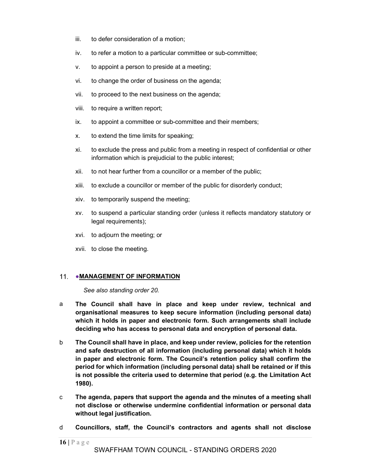- iii. to defer consideration of a motion;
- iv. to refer a motion to a particular committee or sub-committee;
- v. to appoint a person to preside at a meeting;
- vi. to change the order of business on the agenda;
- vii. to proceed to the next business on the agenda;
- viii. to require a written report;
- ix. to appoint a committee or sub-committee and their members;
- x. to extend the time limits for speaking;
- xi. to exclude the press and public from a meeting in respect of confidential or other information which is prejudicial to the public interest;
- xii. to not hear further from a councillor or a member of the public;
- xiii. to exclude a councillor or member of the public for disorderly conduct;
- xiv. to temporarily suspend the meeting;
- xv. to suspend a particular standing order (unless it reflects mandatory statutory or legal requirements);
- xvi. to adjourn the meeting; or
- xvii. to close the meeting.

## 11. • MANAGEMENT OF INFORMATION

See also standing order 20.

- a The Council shall have in place and keep under review, technical and organisational measures to keep secure information (including personal data) which it holds in paper and electronic form. Such arrangements shall include deciding who has access to personal data and encryption of personal data.
- See also standing order 20.<br>
a The Council shall have in place and keep under review, tech<br>
organisational measures to keep secure information (including perso<br>
which it holds in paper and electronic form. Such arrangemen b The Council shall have in place, and keep under review, policies for the retention and safe destruction of all information (including personal data) which it holds in paper and electronic form. The Council's retention policy shall confirm the period for which information (including personal data) shall be retained or if this is not possible the criteria used to determine that period (e.g. the Limitation Act 1980).
- c The agenda, papers that support the agenda and the minutes of a meeting shall not disclose or otherwise undermine confidential information or personal data without legal justification.
- d Councillors, staff, the Council's contractors and agents shall not disclose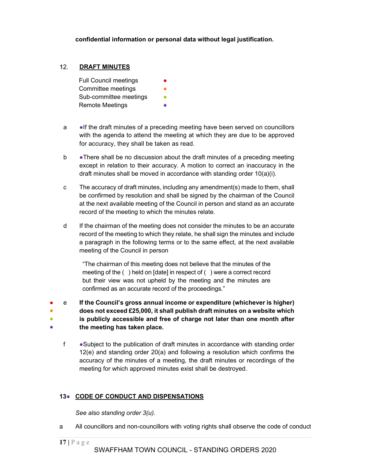confidential information or personal data without legal justification.

#### $12.$ DRAFT MINUTES

Full Council meetings Committee meetings Sub-committee meetings **•** Remote Meetings **●** 

- a ●If the draft minutes of a preceding meeting have been served on councillors with the agenda to attend the meeting at which they are due to be approved for accuracy, they shall be taken as read.
- b •There shall be no discussion about the draft minutes of a preceding meeting except in relation to their accuracy. A motion to correct an inaccuracy in the draft minutes shall be moved in accordance with standing order 10(a)(i).
- c The accuracy of draft minutes, including any amendment(s) made to them, shall be confirmed by resolution and shall be signed by the chairman of the Council at the next available meeting of the Council in person and stand as an accurate record of the meeting to which the minutes relate.
- d If the chairman of the meeting does not consider the minutes to be an accurate record of the meeting to which they relate, he shall sign the minutes and include a paragraph in the following terms or to the same effect, at the next available meeting of the Council in person

"The chairman of this meeting does not believe that the minutes of the meeting of the ( ) held on [date] in respect of ( ) were a correct record but their view was not upheld by the meeting and the minutes are confirmed as an accurate record of the proceedings."

confirmed as an accurate record of the proceedings."<br>
If the Council's gross annual income or expenditure (whichever is hig<br>
does not exceed £25,000, it shall publish draft minutes on a website whis<br>
is publicly accessibl ● e If the Council's gross annual income or expenditure (whichever is higher) ● does not exceed £25,000, it shall publish draft minutes on a website which ● is publicly accessible and free of charge not later than one month after **• the meeting has taken place.** The meeting has taken place.

f • Subject to the publication of draft minutes in accordance with standing order 12(e) and standing order 20(a) and following a resolution which confirms the accuracy of the minutes of a meeting, the draft minutes or recordings of the meeting for which approved minutes exist shall be destroyed.

# 13• CODE OF CONDUCT AND DISPENSATIONS

See also standing order 3(u).

a All councillors and non-councillors with voting rights shall observe the code of conduct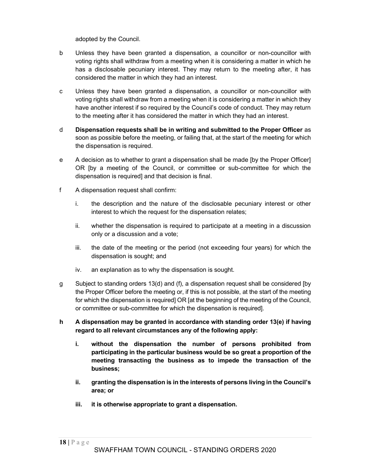adopted by the Council.

- b Unless they have been granted a dispensation, a councillor or non-councillor with voting rights shall withdraw from a meeting when it is considering a matter in which he has a disclosable pecuniary interest. They may return to the meeting after, it has considered the matter in which they had an interest.
- c Unless they have been granted a dispensation, a councillor or non-councillor with voting rights shall withdraw from a meeting when it is considering a matter in which they have another interest if so required by the Council's code of conduct. They may return to the meeting after it has considered the matter in which they had an interest.
- d Dispensation requests shall be in writing and submitted to the Proper Officer as soon as possible before the meeting, or failing that, at the start of the meeting for which the dispensation is required.
- e A decision as to whether to grant a dispensation shall be made [by the Proper Officer] OR [by a meeting of the Council, or committee or sub-committee for which the dispensation is required] and that decision is final.
- f A dispensation request shall confirm:
	- i. the description and the nature of the disclosable pecuniary interest or other interest to which the request for the dispensation relates;
	- ii. whether the dispensation is required to participate at a meeting in a discussion only or a discussion and a vote;
	- iii. the date of the meeting or the period (not exceeding four years) for which the dispensation is sought; and
	- iv. an explanation as to why the dispensation is sought.
- g Subject to standing orders 13(d) and (f), a dispensation request shall be considered [by the Proper Officer before the meeting or, if this is not possible, at the start of the meeting for which the dispensation is required] OR [at the beginning of the meeting of the Council, or committee or sub-committee for which the dispensation is required].
- h A dispensation may be granted in accordance with standing order 13(e) if having regard to all relevant circumstances any of the following apply:
	- i. without the dispensation the number of persons prohibited from participating in the particular business would be so great a proportion of the meeting transacting the business as to impede the transaction of the business;
	- ii. granting the dispensation is in the interests of persons living in the Council's area; or
	- iii. it is otherwise appropriate to grant a dispensation.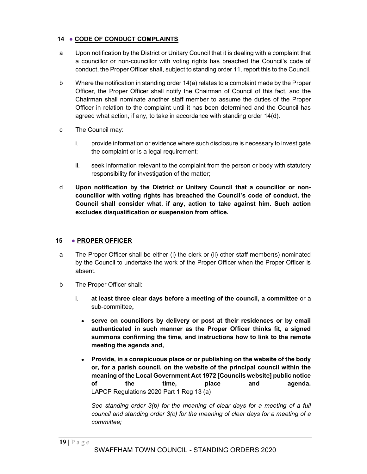# 14 • CODE OF CONDUCT COMPLAINTS

- a Upon notification by the District or Unitary Council that it is dealing with a complaint that a councillor or non-councillor with voting rights has breached the Council's code of conduct, the Proper Officer shall, subject to standing order 11, report this to the Council.
- b Where the notification in standing order 14(a) relates to a complaint made by the Proper Officer, the Proper Officer shall notify the Chairman of Council of this fact, and the Chairman shall nominate another staff member to assume the duties of the Proper Officer in relation to the complaint until it has been determined and the Council has agreed what action, if any, to take in accordance with standing order 14(d).
- c The Council may:
	- i. provide information or evidence where such disclosure is necessary to investigate the complaint or is a legal requirement;
	- ii. seek information relevant to the complaint from the person or body with statutory responsibility for investigation of the matter;
- d Upon notification by the District or Unitary Council that a councillor or noncouncillor with voting rights has breached the Council's code of conduct, the Council shall consider what, if any, action to take against him. Such action excludes disqualification or suspension from office.

#### 15 • PROPER OFFICER

- a The Proper Officer shall be either (i) the clerk or (ii) other staff member(s) nominated by the Council to undertake the work of the Proper Officer when the Proper Officer is absent.
- b The Proper Officer shall:
	- i. at least three clear days before a meeting of the council, a committee or a sub-committee,
		- serve on councillors by delivery or post at their residences or by email authenticated in such manner as the Proper Officer thinks fit, a signed summons confirming the time, and instructions how to link to the remote meeting the agenda and,
		- Provide, in a conspicuous place or or publishing on the website of the body or, for a parish council, on the website of the principal council within the meaning of the Local Government Act 1972 [Councils website] public notice of the time, place and agenda. LAPCP Regulations 2020 Part 1 Reg 13 (a)

See standing order 3(b) for the meaning of clear days for a meeting of a full council and standing order 3(c) for the meaning of clear days for a meeting of a committee;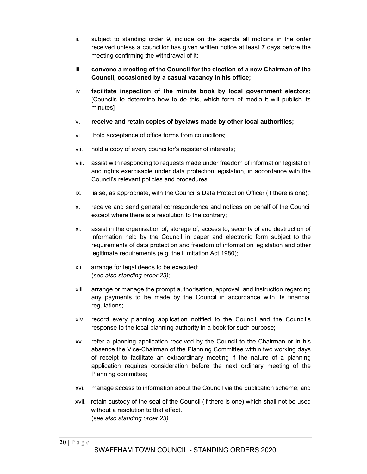- ii. subject to standing order 9, include on the agenda all motions in the order received unless a councillor has given written notice at least 7 days before the meeting confirming the withdrawal of it;
- iii. convene a meeting of the Council for the election of a new Chairman of the Council, occasioned by a casual vacancy in his office;
- iv. facilitate inspection of the minute book by local government electors; [Councils to determine how to do this, which form of media it will publish its minutes]
- v. receive and retain copies of byelaws made by other local authorities;
- vi. hold acceptance of office forms from councillors;
- vii. hold a copy of every councillor's register of interests;
- viii. assist with responding to requests made under freedom of information legislation and rights exercisable under data protection legislation, in accordance with the Council's relevant policies and procedures;
- ix. liaise, as appropriate, with the Council's Data Protection Officer (if there is one);
- x. receive and send general correspondence and notices on behalf of the Council except where there is a resolution to the contrary;
- xi. assist in the organisation of, storage of, access to, security of and destruction of information held by the Council in paper and electronic form subject to the requirements of data protection and freedom of information legislation and other legitimate requirements (e.g. the Limitation Act 1980);
- xii. arrange for legal deeds to be executed; (see also standing order 23);
- xiii. arrange or manage the prompt authorisation, approval, and instruction regarding any payments to be made by the Council in accordance with its financial regulations;
- xiv. record every planning application notified to the Council and the Council's response to the local planning authority in a book for such purpose;
- xv. refer a planning application received by the Council to the Chairman or in his absence the Vice-Chairman of the Planning Committee within two working days of receipt to facilitate an extraordinary meeting if the nature of a planning application requires consideration before the next ordinary meeting of the Planning committee;
- xvi. manage access to information about the Council via the publication scheme; and
- xvii. retain custody of the seal of the Council (if there is one) which shall not be used without a resolution to that effect. (see also standing order 23).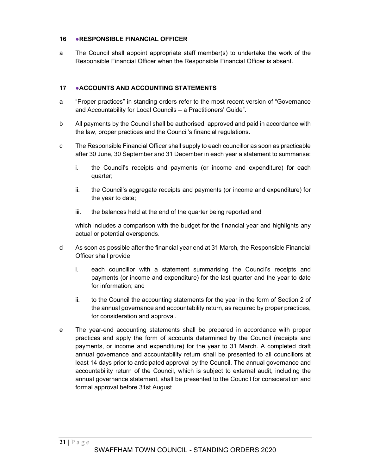## 16 • RESPONSIBLE FINANCIAL OFFICER

a The Council shall appoint appropriate staff member(s) to undertake the work of the Responsible Financial Officer when the Responsible Financial Officer is absent.

#### 17 ●ACCOUNTS AND ACCOUNTING STATEMENTS

- a "Proper practices" in standing orders refer to the most recent version of "Governance and Accountability for Local Councils – a Practitioners' Guide".
- b All payments by the Council shall be authorised, approved and paid in accordance with the law, proper practices and the Council's financial regulations.
- c The Responsible Financial Officer shall supply to each councillor as soon as practicable after 30 June, 30 September and 31 December in each year a statement to summarise:
	- i. the Council's receipts and payments (or income and expenditure) for each quarter;
	- ii. the Council's aggregate receipts and payments (or income and expenditure) for the year to date;
	- iii. the balances held at the end of the quarter being reported and

which includes a comparison with the budget for the financial year and highlights any actual or potential overspends.

- d As soon as possible after the financial year end at 31 March, the Responsible Financial Officer shall provide:
	- i. each councillor with a statement summarising the Council's receipts and payments (or income and expenditure) for the last quarter and the year to date for information; and
	- ii. to the Council the accounting statements for the year in the form of Section 2 of the annual governance and accountability return, as required by proper practices, for consideration and approval.
- e The year-end accounting statements shall be prepared in accordance with proper practices and apply the form of accounts determined by the Council (receipts and payments, or income and expenditure) for the year to 31 March. A completed draft annual governance and accountability return shall be presented to all councillors at least 14 days prior to anticipated approval by the Council. The annual governance and accountability return of the Council, which is subject to external audit, including the annual governance statement, shall be presented to the Council for consideration and formal approval before 31st August.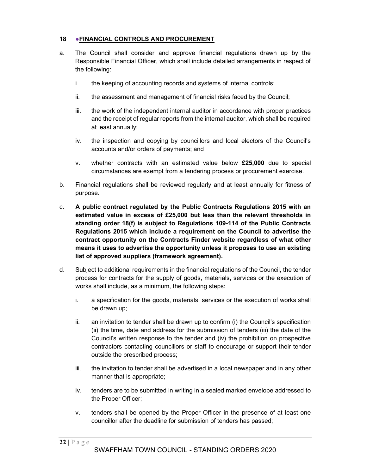# 18 • FINANCIAL CONTROLS AND PROCUREMENT

- a. The Council shall consider and approve financial regulations drawn up by the Responsible Financial Officer, which shall include detailed arrangements in respect of the following:
	- i. the keeping of accounting records and systems of internal controls;
	- ii. the assessment and management of financial risks faced by the Council;
	- iii. the work of the independent internal auditor in accordance with proper practices and the receipt of regular reports from the internal auditor, which shall be required at least annually;
	- iv. the inspection and copying by councillors and local electors of the Council's accounts and/or orders of payments; and
	- v. whether contracts with an estimated value below £25,000 due to special circumstances are exempt from a tendering process or procurement exercise.
- b. Financial regulations shall be reviewed regularly and at least annually for fitness of purpose.
- c. A public contract regulated by the Public Contracts Regulations 2015 with an estimated value in excess of £25,000 but less than the relevant thresholds in standing order 18(f) is subject to Regulations 109-114 of the Public Contracts Regulations 2015 which include a requirement on the Council to advertise the contract opportunity on the Contracts Finder website regardless of what other means it uses to advertise the opportunity unless it proposes to use an existing list of approved suppliers (framework agreement).
- d. Subject to additional requirements in the financial regulations of the Council, the tender process for contracts for the supply of goods, materials, services or the execution of works shall include, as a minimum, the following steps:
	- i. a specification for the goods, materials, services or the execution of works shall be drawn up;
	- ii. an invitation to tender shall be drawn up to confirm (i) the Council's specification (ii) the time, date and address for the submission of tenders (iii) the date of the Council's written response to the tender and (iv) the prohibition on prospective contractors contacting councillors or staff to encourage or support their tender outside the prescribed process;
	- iii. the invitation to tender shall be advertised in a local newspaper and in any other manner that is appropriate;
	- iv. tenders are to be submitted in writing in a sealed marked envelope addressed to the Proper Officer;
	- v. tenders shall be opened by the Proper Officer in the presence of at least one councillor after the deadline for submission of tenders has passed;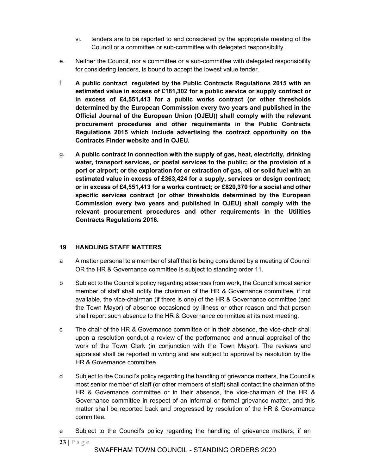- vi. tenders are to be reported to and considered by the appropriate meeting of the Council or a committee or sub-committee with delegated responsibility.
- e. Neither the Council, nor a committee or a sub-committee with delegated responsibility for considering tenders, is bound to accept the lowest value tender.
- f. A public contract regulated by the Public Contracts Regulations 2015 with an estimated value in excess of £181,302 for a public service or supply contract or in excess of £4,551,413 for a public works contract (or other thresholds determined by the European Commission every two years and published in the Official Journal of the European Union (OJEU)) shall comply with the relevant procurement procedures and other requirements in the Public Contracts Regulations 2015 which include advertising the contract opportunity on the Contracts Finder website and in OJEU.
- g. A public contract in connection with the supply of gas, heat, electricity, drinking water, transport services, or postal services to the public; or the provision of a port or airport; or the exploration for or extraction of gas, oil or solid fuel with an estimated value in excess of £363,424 for a supply, services or design contract; or in excess of £4,551,413 for a works contract; or £820,370 for a social and other specific services contract (or other thresholds determined by the European Commission every two years and published in OJEU) shall comply with the relevant procurement procedures and other requirements in the Utilities Contracts Regulations 2016.

# 19 HANDLING STAFF MATTERS

- a A matter personal to a member of staff that is being considered by a meeting of Council OR the HR & Governance committee is subject to standing order 11.
- b Subject to the Council's policy regarding absences from work, the Council's most senior member of staff shall notify the chairman of the HR & Governance committee, if not available, the vice-chairman (if there is one) of the HR & Governance committee (and the Town Mayor) of absence occasioned by illness or other reason and that person shall report such absence to the HR & Governance committee at its next meeting.
- c The chair of the HR & Governance committee or in their absence, the vice-chair shall upon a resolution conduct a review of the performance and annual appraisal of the work of the Town Clerk (in conjunction with the Town Mayor). The reviews and appraisal shall be reported in writing and are subject to approval by resolution by the HR & Governance committee.
- d Subject to the Council's policy regarding the handling of grievance matters, the Council's most senior member of staff (or other members of staff) shall contact the chairman of the HR & Governance committee or in their absence, the vice-chairman of the HR & Governance committee in respect of an informal or formal grievance matter, and this matter shall be reported back and progressed by resolution of the HR & Governance committee.
- e Subject to the Council's policy regarding the handling of grievance matters, if an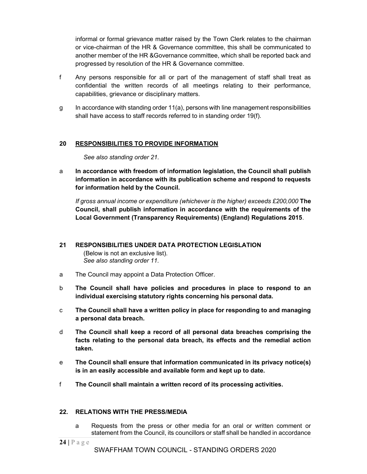informal or formal grievance matter raised by the Town Clerk relates to the chairman or vice-chairman of the HR & Governance committee, this shall be communicated to another member of the HR &Governance committee, which shall be reported back and progressed by resolution of the HR & Governance committee.

- f Any persons responsible for all or part of the management of staff shall treat as confidential the written records of all meetings relating to their performance, capabilities, grievance or disciplinary matters.
- g In accordance with standing order 11(a), persons with line management responsibilities shall have access to staff records referred to in standing order 19(f).

#### 20 RESPONSIBILITIES TO PROVIDE INFORMATION

See also standing order 21.

a In accordance with freedom of information legislation, the Council shall publish information in accordance with its publication scheme and respond to requests for information held by the Council.

If gross annual income or expenditure (whichever is the higher) exceeds £200,000 The Council, shall publish information in accordance with the requirements of the Local Government (Transparency Requirements) (England) Regulations 2015.

#### 21 RESPONSIBILITIES UNDER DATA PROTECTION LEGISLATION (Below is not an exclusive list).

See also standing order 11.

- a The Council may appoint a Data Protection Officer.
- b The Council shall have policies and procedures in place to respond to an individual exercising statutory rights concerning his personal data.
- c The Council shall have a written policy in place for responding to and managing a personal data breach.
- d The Council shall keep a record of all personal data breaches comprising the facts relating to the personal data breach, its effects and the remedial action taken.
- e The Council shall ensure that information communicated in its privacy notice(s) is in an easily accessible and available form and kept up to date.
- f The Council shall maintain a written record of its processing activities.

#### 22. RELATIONS WITH THE PRESS/MEDIA

a Requests from the press or other media for an oral or written comment or statement from the Council, its councillors or staff shall be handled in accordance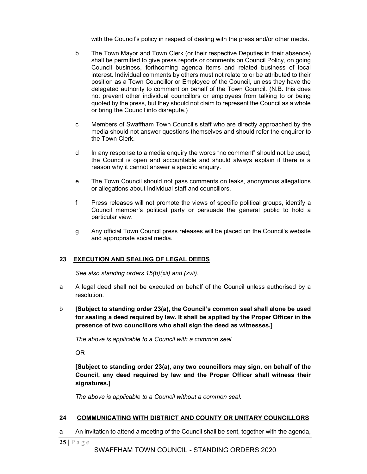with the Council's policy in respect of dealing with the press and/or other media.

- b The Town Mayor and Town Clerk (or their respective Deputies in their absence) shall be permitted to give press reports or comments on Council Policy, on going Council business, forthcoming agenda items and related business of local interest. Individual comments by others must not relate to or be attributed to their position as a Town Councillor or Employee of the Council, unless they have the delegated authority to comment on behalf of the Town Council. (N.B. this does not prevent other individual councillors or employees from talking to or being quoted by the press, but they should not claim to represent the Council as a whole or bring the Council into disrepute.)
- c Members of Swaffham Town Council's staff who are directly approached by the media should not answer questions themselves and should refer the enquirer to the Town Clerk.
- d In any response to a media enquiry the words "no comment" should not be used; the Council is open and accountable and should always explain if there is a reason why it cannot answer a specific enquiry.
- e The Town Council should not pass comments on leaks, anonymous allegations or allegations about individual staff and councillors.
- f Press releases will not promote the views of specific political groups, identify a Council member's political party or persuade the general public to hold a particular view.
- g Any official Town Council press releases will be placed on the Council's website and appropriate social media.

## 23 EXECUTION AND SEALING OF LEGAL DEEDS

See also standing orders 15(b)(xii) and (xvii).

- a A legal deed shall not be executed on behalf of the Council unless authorised by a resolution.
- b [Subject to standing order 23(a), the Council's common seal shall alone be used for sealing a deed required by law. It shall be applied by the Proper Officer in the presence of two councillors who shall sign the deed as witnesses.]

The above is applicable to a Council with a common seal.

OR

[Subject to standing order 23(a), any two councillors may sign, on behalf of the Council, any deed required by law and the Proper Officer shall witness their signatures.]

The above is applicable to a Council without a common seal.

#### 24 COMMUNICATING WITH DISTRICT AND COUNTY OR UNITARY COUNCILLORS

a An invitation to attend a meeting of the Council shall be sent, together with the agenda,